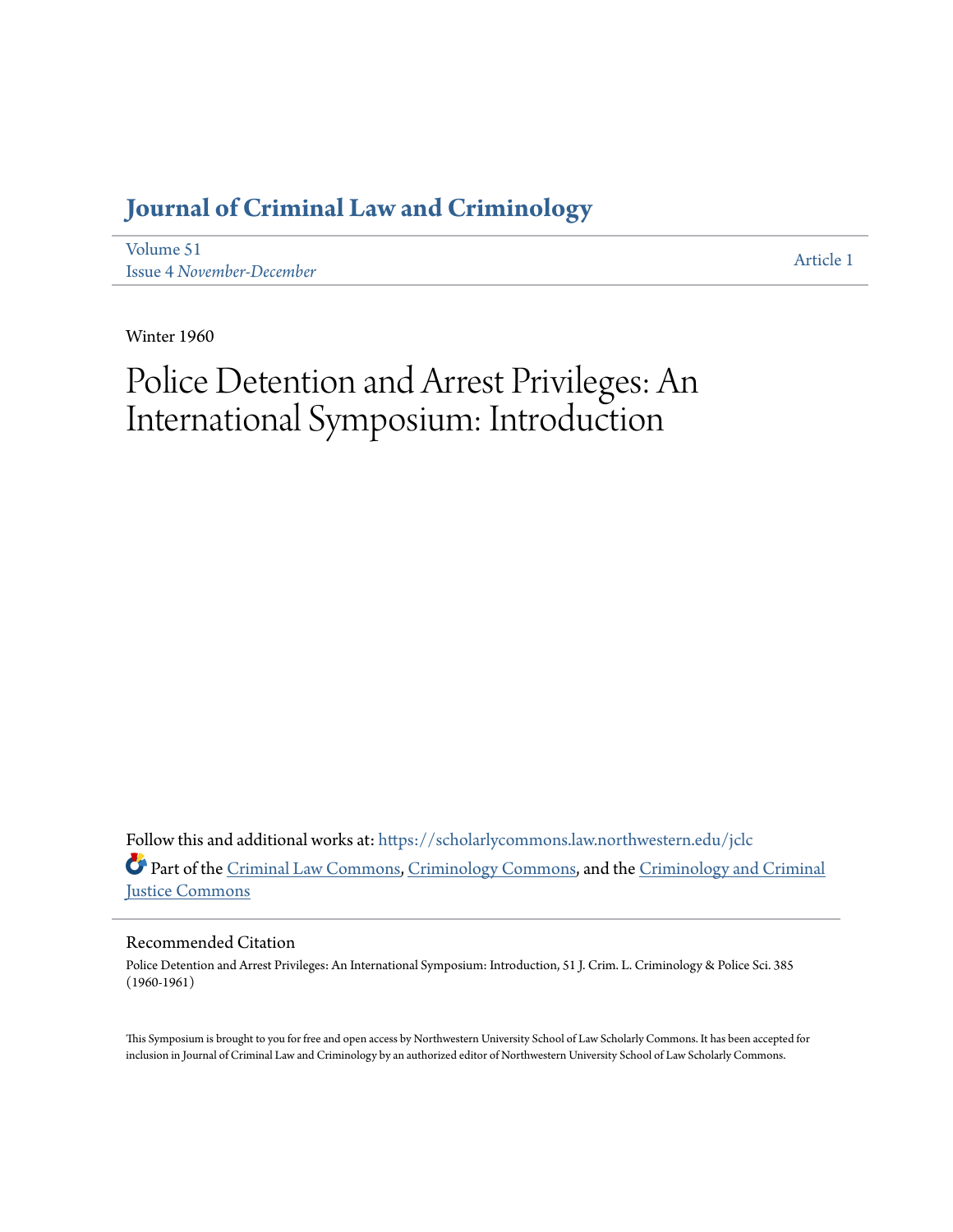## **[Journal of Criminal Law and Criminology](https://scholarlycommons.law.northwestern.edu/jclc?utm_source=scholarlycommons.law.northwestern.edu%2Fjclc%2Fvol51%2Fiss4%2F1&utm_medium=PDF&utm_campaign=PDFCoverPages)**

[Volume 51](https://scholarlycommons.law.northwestern.edu/jclc/vol51?utm_source=scholarlycommons.law.northwestern.edu%2Fjclc%2Fvol51%2Fiss4%2F1&utm_medium=PDF&utm_campaign=PDFCoverPages) Issue 4 *[November-December](https://scholarlycommons.law.northwestern.edu/jclc/vol51/iss4?utm_source=scholarlycommons.law.northwestern.edu%2Fjclc%2Fvol51%2Fiss4%2F1&utm_medium=PDF&utm_campaign=PDFCoverPages)*

[Article 1](https://scholarlycommons.law.northwestern.edu/jclc/vol51/iss4/1?utm_source=scholarlycommons.law.northwestern.edu%2Fjclc%2Fvol51%2Fiss4%2F1&utm_medium=PDF&utm_campaign=PDFCoverPages)

Winter 1960

# Police Detention and Arrest Privileges: An International Symposium: Introduction

Follow this and additional works at: [https://scholarlycommons.law.northwestern.edu/jclc](https://scholarlycommons.law.northwestern.edu/jclc?utm_source=scholarlycommons.law.northwestern.edu%2Fjclc%2Fvol51%2Fiss4%2F1&utm_medium=PDF&utm_campaign=PDFCoverPages) Part of the [Criminal Law Commons](http://network.bepress.com/hgg/discipline/912?utm_source=scholarlycommons.law.northwestern.edu%2Fjclc%2Fvol51%2Fiss4%2F1&utm_medium=PDF&utm_campaign=PDFCoverPages), [Criminology Commons](http://network.bepress.com/hgg/discipline/417?utm_source=scholarlycommons.law.northwestern.edu%2Fjclc%2Fvol51%2Fiss4%2F1&utm_medium=PDF&utm_campaign=PDFCoverPages), and the [Criminology and Criminal](http://network.bepress.com/hgg/discipline/367?utm_source=scholarlycommons.law.northwestern.edu%2Fjclc%2Fvol51%2Fiss4%2F1&utm_medium=PDF&utm_campaign=PDFCoverPages) [Justice Commons](http://network.bepress.com/hgg/discipline/367?utm_source=scholarlycommons.law.northwestern.edu%2Fjclc%2Fvol51%2Fiss4%2F1&utm_medium=PDF&utm_campaign=PDFCoverPages)

#### Recommended Citation

Police Detention and Arrest Privileges: An International Symposium: Introduction, 51 J. Crim. L. Criminology & Police Sci. 385 (1960-1961)

This Symposium is brought to you for free and open access by Northwestern University School of Law Scholarly Commons. It has been accepted for inclusion in Journal of Criminal Law and Criminology by an authorized editor of Northwestern University School of Law Scholarly Commons.